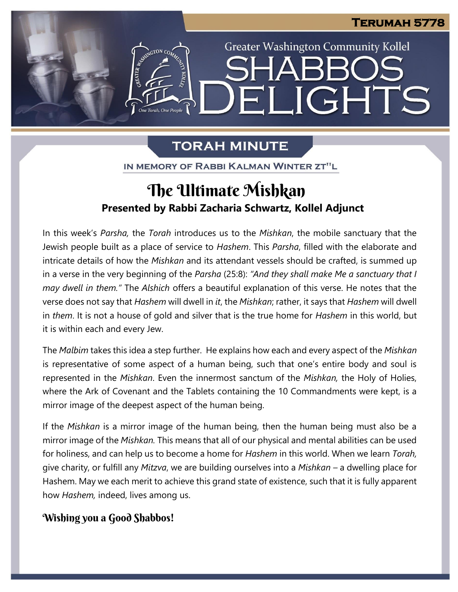**Greater Washington Community Kollel** 

ELIGHTS

## **TORAH MINUTE**

One Torah. One People

IN MEMORY OF RABBI KALMAN WINTER ZT"L

### J **Presented by Rabbi Zacharia Schwartz, Kollel Adjunct** The Ultimate Mishkan

In this week's *Parsha,* the *Torah* introduces us to the *Mishkan*, the mobile sanctuary that the Jewish people built as a place of service to *Hashem*. This *Parsha*, filled with the elaborate and intricate details of how the *Mishkan* and its attendant vessels should be crafted, is summed up in a verse in the very beginning of the *Parsha* (25:8): *"And they shall make Me a sanctuary that I may dwell in them."* The *Alshich* offers a beautiful explanation of this verse. He notes that the verse does not say that *Hashem* will dwell in *it*, the *Mishkan*; rather, it says that *Hashem* will dwell in *them*. It is not a house of gold and silver that is the true home for *Hashem* in this world, but it is within each and every Jew.

The *Malbim* takes this idea a step further. He explains how each and every aspect of the *Mishkan* is representative of some aspect of a human being, such that one's entire body and soul is represented in the *Mishkan*. Even the innermost sanctum of the *Mishkan,* the Holy of Holies, where the Ark of Covenant and the Tablets containing the 10 Commandments were kept, is a mirror image of the deepest aspect of the human being.

If the *Mishkan* is a mirror image of the human being, then the human being must also be a mirror image of the *Mishkan.* This means that all of our physical and mental abilities can be used for holiness, and can help us to become a home for *Hashem* in this world. When we learn *Torah,* give charity, or fulfill any *Mitzva*, we are building ourselves into a *Mishkan –* a dwelling place for Hashem. May we each merit to achieve this grand state of existence, such that it is fully apparent how *Hashem,* indeed, lives among us.

### Wishing you a Good Shabbos!